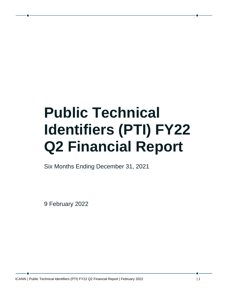# **Public Technical Identifiers (PTI) FY22 Q2 Financial Report**

Six Months Ending December 31, 2021

9 February 2022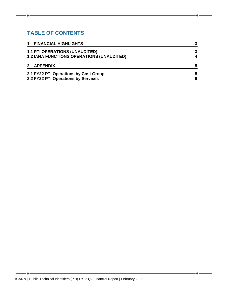## **TABLE OF CONTENTS**

| $\mathbf 1$<br><b>FINANCIAL HIGHLIGHTS</b>       | 3 |
|--------------------------------------------------|---|
| <b>1.1 PTI OPERATIONS (UNAUDITED)</b>            | 3 |
| <b>1.2 IANA FUNCTIONS OPERATIONS (UNAUDITED)</b> | 4 |
| 2 APPENDIX                                       | 5 |
| 2.1 FY22 PTI Operations by Cost Group            | 5 |
| 2.2 FY22 PTI Operations by Services              | 6 |

 $\bullet$ 

<u> 1990 - Johann Barbara, martxa</u>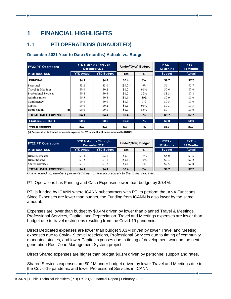# <span id="page-2-0"></span>**1 FINANCIAL HIGHLIGHTS**

## <span id="page-2-1"></span>**1.1 PTI OPERATIONS (UNAUDITED)**

#### **December 2021 Year to Date (6 months) Actuals vs. Budget**

| <b>FY22 PTI Operations</b> |                   | <b>YTD 6 Months Through</b><br>December 2021 |           | Under/(Over) Budget | $FY22 -$<br><b>12 Months</b> | $FY21 -$<br><b>12 Months</b> |
|----------------------------|-------------------|----------------------------------------------|-----------|---------------------|------------------------------|------------------------------|
| in Millions, USD           | <b>YTD Actual</b> | <b>YTD Budget</b>                            | Total     | $\%$                | <b>Budget</b>                | <b>Actual</b>                |
| <b>FUNDING</b>             | \$4.1             | \$4.4                                        | \$0.4     | 8%                  | \$9.7                        | \$7.7                        |
| Personnel                  | \$3.2             | \$3.0                                        | $(\$0.2)$ | $-6\%$              | \$6.1                        | \$5.7                        |
| Travel & Meetings          | \$0.0             | \$0.2                                        | \$0.2     | 96%                 | \$0.6                        | \$0.0                        |
| Professional Services      | \$0.4             | \$0.6                                        | \$0.2     | 32%                 | \$1.3                        | \$0.8                        |
| Administration             | \$0.5             | \$0.4                                        | (S0.1)    | $-19%$              | \$0.9                        | \$1.0                        |
| Contingency                | \$0.0             | \$0.0                                        | \$0.0     | $0\%$               | \$0.5                        | \$0.0                        |
| Capital                    | \$0.0             | \$0.2                                        | \$0.1     | 96%                 | \$0.3                        | \$0.3                        |
| Depreciation<br>(a)        | \$0.0             | \$0.1                                        | \$0.0     | 83%                 | \$0.1                        | \$0.0                        |
| <b>TOTAL CASH EXPENSES</b> | \$4.1             | \$4.4                                        | \$0,4     | 8%                  | \$9.7                        | \$7.7                        |
| <b>EXCESS/(DEFICIT)</b>    | \$0.0             | \$0.0                                        | \$0,0     | $0\%$               | \$0.0                        | \$0.0                        |
| Average Headcount          | 22.3              | 22.0                                         | (0, 3)    | $-1%$               | 22.0                         | 20.9                         |

(a) Depreciation is treated as a cash expense for PTI since it will be reimbursed to ICANN

| <b>FY22 PTI Operations</b> | <b>YTD 6 Months Through</b><br>December 2021 |                   | Under/(Over) Budget |        | $FY22 -$<br><b>12 Months</b> | $FY21 -$<br><b>12 Months</b> |
|----------------------------|----------------------------------------------|-------------------|---------------------|--------|------------------------------|------------------------------|
| in Millions, USD           | <b>YTD Actual</b>                            | <b>YTD Budget</b> | Total               | %      | <b>Budget</b>                | <b>Actual</b>                |
| Direct Dedicated           | \$1.8                                        | \$2.1             | \$0.3               | 16%    | \$5.0                        | \$3.5                        |
| Direct Shared              | \$1.2                                        | \$1.1             | (S0.1)              | $-9\%$ | \$2.3                        | \$2.2                        |
| Shared Services            | \$1.1                                        | \$1.2             | \$0.1               | 9%     | \$2.5                        | \$2.0                        |
| <b>TOTAL CASH EXPENSES</b> | \$41                                         | \$4.4             | \$0.4               | 8%     | \$9.7                        | \$77                         |

*Due to rounding, numbers presented may not add up precisely to the totals indicated.*

PTI Operations has Funding and Cash Expenses lower than budget by \$0.4M.

PTI is funded by ICANN where ICANN subcontracts with PTI to perform the IANA Functions. Since Expenses are lower than budget, the Funding from ICANN is also lower by the same amount.

Expenses are lower than budget by \$0.4M driven by lower than planned Travel & Meetings, Professional Services, Capital, and Depreciation. Travel and Meetings expenses are lower than budget due to travel restrictions resulting from the Covid-19 pandemic.

Direct Dedicated expenses are lower than budget \$0.3M driven by lower Travel and Meeting expenses due to Covid-19 travel restrictions, Professional Services due to timing of community mandated studies, and lower Capital expenses due to timing of development work on the next generation Root Zone Management System project.

Direct Shared expenses are higher than budget \$0.1M driven by personnel support and rates.

Shared Services expenses are \$0.1M under budget driven by lower Travel and Meetings due to the Covid-19 pandemic and lower Professional Services in ICANN.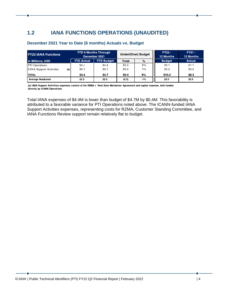## <span id="page-3-0"></span>**1.2 IANA FUNCTIONS OPERATIONS (UNAUDITED)**

| <b>FY22 IANA Functions</b>            |                   | <b>YTD 6 Months Through</b><br>December 2021 |       | <b>Under/(Over) Budget</b> | $FY22 -$<br><b>12 Months</b> | $FY21 -$<br><b>12 Months</b> |
|---------------------------------------|-------------------|----------------------------------------------|-------|----------------------------|------------------------------|------------------------------|
| in Millions, USD                      | <b>YTD Actual</b> | <b>YTD Budget</b>                            | Total | %                          | <b>Budget</b>                | Actual                       |
| <b>PTI</b> Operations                 | \$4.1             | \$4.4                                        | \$0.4 | 8%                         | \$9.7                        | \$7.7                        |
| <b>IANA</b> Support Activities<br>(a) | \$0.3             | \$0.3                                        | \$0.0 | 3%                         | \$0.6                        | \$0.6                        |
| <b>TOTAL</b>                          | \$4.4             | \$4.7                                        | \$0.4 | 8%                         | \$10.3                       | \$8.3                        |
| Average Headcount                     | 22.3              | 22.0                                         | (0.3) | $-1%$                      | 22.0                         | 20.9                         |

#### **December 2021 Year to Date (6 months) Actuals vs. Budget**

(a) IANA Support Activities expenses consist of the RZMA = Root Zone Maintainer Agreement and capital expense, both funded directly by ICANN Operations

Total IANA expenses of \$4.4M is lower than budget of \$4.7M by \$0.4M. This favorability is attributed to a favorable variance for PTI Operations noted above. The ICANN-funded IANA Support Activities expenses, representing costs for RZMA, Customer Standing Committee, and IANA Functions Review support remain relatively flat to budget.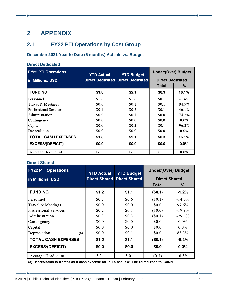# <span id="page-4-0"></span>**2 APPENDIX**

## <span id="page-4-1"></span>**2.1 FY22 PTI Operations by Cost Group**

## **December 2021 Year to Date (6 months) Actuals vs. Budget**

| <b>Direct Dedicated</b>    |                         |                         |                            |          |  |
|----------------------------|-------------------------|-------------------------|----------------------------|----------|--|
| <b>FY22 PTI Operations</b> | <b>YTD Actual</b>       | <b>YTD Budget</b>       | <b>Under/(Over) Budget</b> |          |  |
| in Millions, USD           | <b>Direct Dedicated</b> | <b>Direct Dedicated</b> | <b>Direct Dedicated</b>    |          |  |
|                            |                         |                         | Total                      | %        |  |
| <b>FUNDING</b>             | \$1.8                   | \$2.1                   | \$0.3                      | 16.1%    |  |
| Personnel                  | \$1.6                   | \$1.6                   | $(\$0.1)$                  | $-3.4\%$ |  |
| Travel & Meetings          | \$0.0                   | \$0.1                   | \$0.1                      | 94.9%    |  |
| Professional Services      | \$0.1                   | \$0.2\$                 | \$0.1                      | $46.1\%$ |  |
| Administration             | \$0.0                   | \$0.1                   | \$0.0                      | 74.2%    |  |
| Contingency                | \$0.0                   | \$0.0                   | \$0.0                      | $0.0\%$  |  |
| Capital                    | \$0.0                   | \$0.2                   | \$0.1                      | $96.2\%$ |  |
| Depreciation               | \$0.0                   | \$0.0                   | \$0.0                      | $0.0\%$  |  |
| <b>TOTAL CASH EXPENSES</b> | \$1.8                   | \$2.1                   | \$03                       | 16.1%    |  |
| <b>EXCESS/(DEFICIT)</b>    | \$0.0                   | \$0.0                   | \$0.0                      | $0.0\%$  |  |
| Average Headcount          | 17.0                    | 17.0                    | 0.0                        | $0.0\%$  |  |

## **Direct Shared**

| <b>FY22 PTI Operations</b>   | <b>YTD Actual</b>    | <b>YTD Budget</b><br><b>Direct Shared</b> | <b>Under/(Over) Budget</b> |           |
|------------------------------|----------------------|-------------------------------------------|----------------------------|-----------|
| in Millions, USD             | <b>Direct Shared</b> |                                           | <b>Direct Shared</b>       |           |
|                              |                      |                                           | Total                      | $\%$      |
| <b>FUNDING</b>               | \$1.2                | \$1.1                                     | (50.1)                     | $-9.2%$   |
| Personnel                    | \$0.7                | \$0.6                                     | (\$0.1)                    | $-14.0\%$ |
| Travel & Meetings            | \$0.0                | \$0.0                                     | \$0.0                      | 97.6%     |
| <b>Professional Services</b> | \$0.2                | \$0.1                                     | $(\$0.0)$                  | $-19.9\%$ |
| Administration               | \$0.3                | \$0.3                                     | $(\$0.1)$                  | $-29.6\%$ |
| Contingency                  | \$0.0                | \$0.0                                     | \$0.0                      | $0.0\%$   |
| Capital                      | \$0.0                | \$0.0                                     | \$0.0                      | $0.0\%$   |
| Depreciation<br>(a)          | \$0.0                | \$0.1                                     | \$0.0                      | 83.3%     |
| <b>TOTAL CASH EXPENSES</b>   | \$1.2                | \$1.1                                     | (50.1)                     | $-9.2%$   |
| <b>EXCESS/(DEFICIT)</b>      | \$0.0                | \$0.0                                     | \$0.0                      | 0.0%      |
| Average Headcount            | 5.3                  | 5.0                                       | (0.3)                      | $-6.3\%$  |

(a) Depreciation is treated as a cash expense for PTI since it will be reimbursed to ICANN